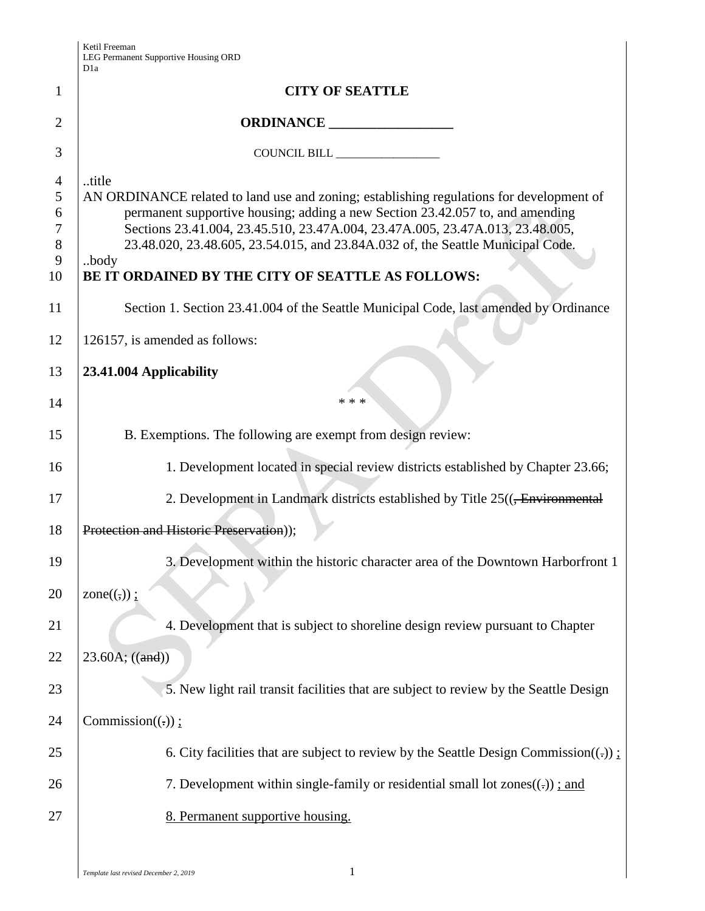Ketil Freeman LEG Permanent Supportive Housing ORD

|                                             | D <sub>1</sub> a                                                                                                                                                                                                                                                                                                                                                                                                                                                                                             |
|---------------------------------------------|--------------------------------------------------------------------------------------------------------------------------------------------------------------------------------------------------------------------------------------------------------------------------------------------------------------------------------------------------------------------------------------------------------------------------------------------------------------------------------------------------------------|
| 1                                           | <b>CITY OF SEATTLE</b>                                                                                                                                                                                                                                                                                                                                                                                                                                                                                       |
| $\overline{2}$                              |                                                                                                                                                                                                                                                                                                                                                                                                                                                                                                              |
| 3                                           | COUNCIL BILL _________________                                                                                                                                                                                                                                                                                                                                                                                                                                                                               |
| 4<br>5<br>6<br>$\tau$<br>8<br>9<br>10<br>11 | title<br>AN ORDINANCE related to land use and zoning; establishing regulations for development of<br>permanent supportive housing; adding a new Section 23.42.057 to, and amending<br>Sections 23.41.004, 23.45.510, 23.47A.004, 23.47A.005, 23.47A.013, 23.48.005,<br>23.48.020, 23.48.605, 23.54.015, and 23.84A.032 of, the Seattle Municipal Code.<br>body<br>BE IT ORDAINED BY THE CITY OF SEATTLE AS FOLLOWS:<br>Section 1. Section 23.41.004 of the Seattle Municipal Code, last amended by Ordinance |
| 12                                          | 126157, is amended as follows:                                                                                                                                                                                                                                                                                                                                                                                                                                                                               |
| 13                                          | 23.41.004 Applicability                                                                                                                                                                                                                                                                                                                                                                                                                                                                                      |
| 14                                          | * * *                                                                                                                                                                                                                                                                                                                                                                                                                                                                                                        |
| 15                                          | B. Exemptions. The following are exempt from design review:                                                                                                                                                                                                                                                                                                                                                                                                                                                  |
| 16                                          | 1. Development located in special review districts established by Chapter 23.66;                                                                                                                                                                                                                                                                                                                                                                                                                             |
| 17                                          | 2. Development in Landmark districts established by Title 25(( <del>, Environmental</del>                                                                                                                                                                                                                                                                                                                                                                                                                    |
| 18                                          | Protection and Historic Preservation));                                                                                                                                                                                                                                                                                                                                                                                                                                                                      |
| 19                                          | 3. Development within the historic character area of the Downtown Harborfront 1                                                                                                                                                                                                                                                                                                                                                                                                                              |
| 20                                          | zone $((,))$ :                                                                                                                                                                                                                                                                                                                                                                                                                                                                                               |
| 21                                          | 4. Development that is subject to shoreline design review pursuant to Chapter                                                                                                                                                                                                                                                                                                                                                                                                                                |
| 22                                          | 23.60A; ((and))                                                                                                                                                                                                                                                                                                                                                                                                                                                                                              |
| 23                                          | 5. New light rail transit facilities that are subject to review by the Seattle Design                                                                                                                                                                                                                                                                                                                                                                                                                        |
| 24                                          | Commission $((.) )$ ;                                                                                                                                                                                                                                                                                                                                                                                                                                                                                        |
| 25                                          | 6. City facilities that are subject to review by the Seattle Design Commission((.)) $\pm$                                                                                                                                                                                                                                                                                                                                                                                                                    |
| 26                                          | 7. Development within single-family or residential small lot zones $((.)$ ; and                                                                                                                                                                                                                                                                                                                                                                                                                              |
| 27                                          | 8. Permanent supportive housing.                                                                                                                                                                                                                                                                                                                                                                                                                                                                             |
|                                             |                                                                                                                                                                                                                                                                                                                                                                                                                                                                                                              |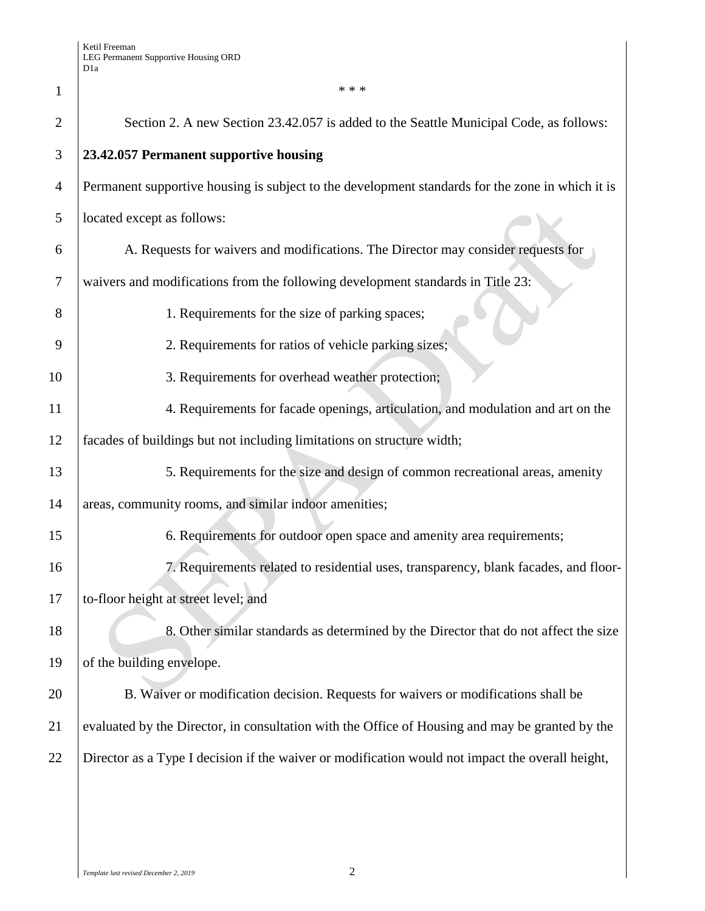| $\mathbf{1}$   | * * *                                                                                            |
|----------------|--------------------------------------------------------------------------------------------------|
| $\overline{2}$ | Section 2. A new Section 23.42.057 is added to the Seattle Municipal Code, as follows:           |
| 3              | 23.42.057 Permanent supportive housing                                                           |
| $\overline{4}$ | Permanent supportive housing is subject to the development standards for the zone in which it is |
| 5              | located except as follows:                                                                       |
| 6              | A. Requests for waivers and modifications. The Director may consider requests for                |
| 7              | waivers and modifications from the following development standards in Title 23:                  |
| 8              | 1. Requirements for the size of parking spaces;                                                  |
| 9              | 2. Requirements for ratios of vehicle parking sizes;                                             |
| 10             | 3. Requirements for overhead weather protection;                                                 |
| 11             | 4. Requirements for facade openings, articulation, and modulation and art on the                 |
| 12             | facades of buildings but not including limitations on structure width;                           |
| 13             | 5. Requirements for the size and design of common recreational areas, amenity                    |
| 14             | areas, community rooms, and similar indoor amenities;                                            |
| 15             | 6. Requirements for outdoor open space and amenity area requirements;                            |
| 16             | 7. Requirements related to residential uses, transparency, blank facades, and floor-             |
| 17             | to-floor height at street level; and                                                             |
| 18             | 8. Other similar standards as determined by the Director that do not affect the size             |
| 19             | of the building envelope.                                                                        |
| 20             | B. Waiver or modification decision. Requests for waivers or modifications shall be               |
| 21             | evaluated by the Director, in consultation with the Office of Housing and may be granted by the  |
| 22             | Director as a Type I decision if the waiver or modification would not impact the overall height, |
|                |                                                                                                  |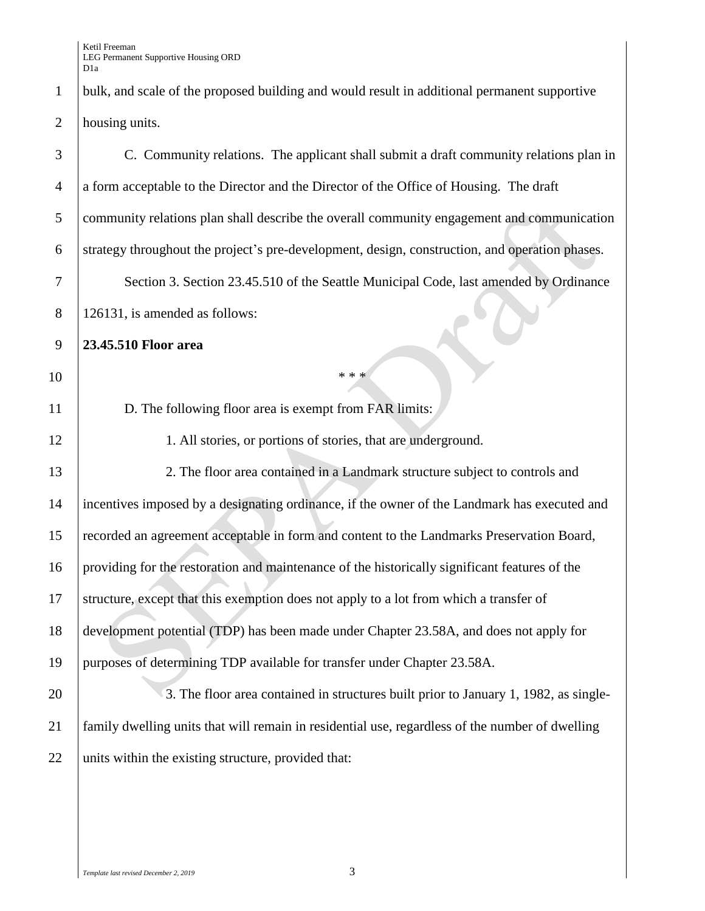1 bulk, and scale of the proposed building and would result in additional permanent supportive housing units.

| 3              | C. Community relations. The applicant shall submit a draft community relations plan in          |
|----------------|-------------------------------------------------------------------------------------------------|
| $\overline{4}$ | a form acceptable to the Director and the Director of the Office of Housing. The draft          |
| 5              | community relations plan shall describe the overall community engagement and communication      |
| 6              | strategy throughout the project's pre-development, design, construction, and operation phases.  |
| 7              | Section 3. Section 23.45.510 of the Seattle Municipal Code, last amended by Ordinance           |
| $8\phantom{1}$ | 126131, is amended as follows:                                                                  |
| 9              | 23.45.510 Floor area                                                                            |
| 10             | * * *                                                                                           |
| 11             | D. The following floor area is exempt from FAR limits:                                          |
| 12             | 1. All stories, or portions of stories, that are underground.                                   |
| 13             | 2. The floor area contained in a Landmark structure subject to controls and                     |
| 14             | incentives imposed by a designating ordinance, if the owner of the Landmark has executed and    |
| 15             | recorded an agreement acceptable in form and content to the Landmarks Preservation Board,       |
| 16             | providing for the restoration and maintenance of the historically significant features of the   |
| 17             | structure, except that this exemption does not apply to a lot from which a transfer of          |
| 18             | development potential (TDP) has been made under Chapter 23.58A, and does not apply for          |
| 19             | purposes of determining TDP available for transfer under Chapter 23.58A.                        |
| 20             | 3. The floor area contained in structures built prior to January 1, 1982, as single-            |
| 21             | family dwelling units that will remain in residential use, regardless of the number of dwelling |
| 22             | units within the existing structure, provided that:                                             |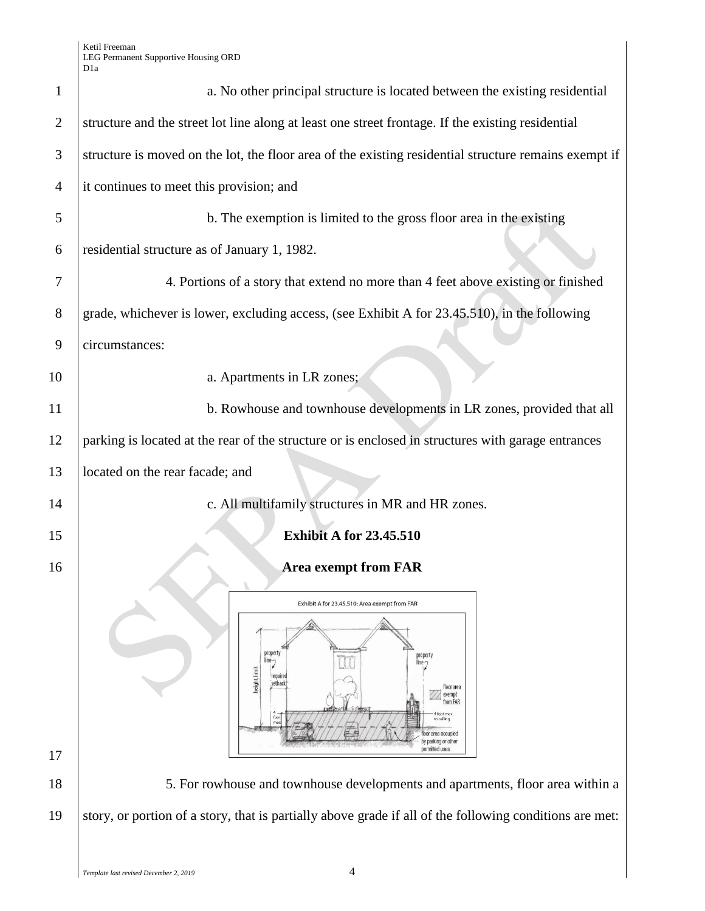Ketil Freeman LEG Permanent Supportive Housing ORD

|                | D <sub>1</sub> a                                                                                                             |  |  |
|----------------|------------------------------------------------------------------------------------------------------------------------------|--|--|
| $\mathbf{1}$   | a. No other principal structure is located between the existing residential                                                  |  |  |
| $\overline{2}$ | structure and the street lot line along at least one street frontage. If the existing residential                            |  |  |
| 3              | structure is moved on the lot, the floor area of the existing residential structure remains exempt if                        |  |  |
| $\overline{4}$ | it continues to meet this provision; and                                                                                     |  |  |
| 5              | b. The exemption is limited to the gross floor area in the existing                                                          |  |  |
| 6              | residential structure as of January 1, 1982.                                                                                 |  |  |
| 7              | 4. Portions of a story that extend no more than 4 feet above existing or finished                                            |  |  |
| 8              | grade, whichever is lower, excluding access, (see Exhibit A for 23.45.510), in the following                                 |  |  |
| 9              | circumstances:                                                                                                               |  |  |
| 10             | a. Apartments in LR zones;                                                                                                   |  |  |
| 11             | b. Rowhouse and townhouse developments in LR zones, provided that all                                                        |  |  |
| 12             | parking is located at the rear of the structure or is enclosed in structures with garage entrances                           |  |  |
| 13             | located on the rear facade; and                                                                                              |  |  |
| 14             | c. All multifamily structures in MR and HR zones.                                                                            |  |  |
| 15             | <b>Exhibit A for 23.45.510</b>                                                                                               |  |  |
| 16             | <b>Area exempt from FAR</b>                                                                                                  |  |  |
|                | Exhibit A for 23.45.510: Area exempt from FAR                                                                                |  |  |
|                | property<br>line-<br>height limit<br>floor area<br>exempt<br>from FAR<br>foot max<br>or area occupied<br>by parking or other |  |  |
| 17             | permitted uses                                                                                                               |  |  |
| 18             | 5. For rowhouse and townhouse developments and apartments, floor area within a                                               |  |  |
| 19             | story, or portion of a story, that is partially above grade if all of the following conditions are met:                      |  |  |
|                |                                                                                                                              |  |  |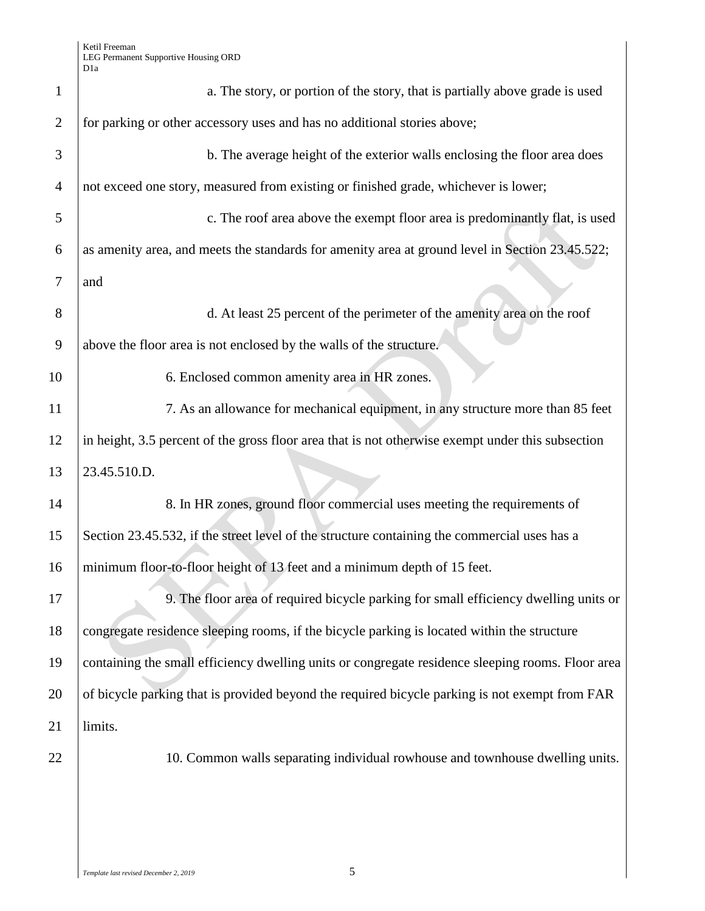| $\mathbf{1}$   | a. The story, or portion of the story, that is partially above grade is used                      |
|----------------|---------------------------------------------------------------------------------------------------|
| $\overline{2}$ | for parking or other accessory uses and has no additional stories above;                          |
| 3              | b. The average height of the exterior walls enclosing the floor area does                         |
| $\overline{4}$ | not exceed one story, measured from existing or finished grade, whichever is lower;               |
| 5              | c. The roof area above the exempt floor area is predominantly flat, is used                       |
| 6              | as amenity area, and meets the standards for amenity area at ground level in Section 23.45.522;   |
| 7              | and                                                                                               |
| 8              | d. At least 25 percent of the perimeter of the amenity area on the roof                           |
| 9              | above the floor area is not enclosed by the walls of the structure.                               |
| 10             | 6. Enclosed common amenity area in HR zones.                                                      |
| 11             | 7. As an allowance for mechanical equipment, in any structure more than 85 feet                   |
| 12             | in height, 3.5 percent of the gross floor area that is not otherwise exempt under this subsection |
| 13             | 23.45.510.D.                                                                                      |
| 14             | 8. In HR zones, ground floor commercial uses meeting the requirements of                          |
| 15             | Section 23.45.532, if the street level of the structure containing the commercial uses has a      |
| 16             | minimum floor-to-floor height of 13 feet and a minimum depth of 15 feet.                          |
| 17             | 9. The floor area of required bicycle parking for small efficiency dwelling units or              |
| 18             | congregate residence sleeping rooms, if the bicycle parking is located within the structure       |
| 19             | containing the small efficiency dwelling units or congregate residence sleeping rooms. Floor area |
| 20             | of bicycle parking that is provided beyond the required bicycle parking is not exempt from FAR    |
| 21             | limits.                                                                                           |
| 22             | 10. Common walls separating individual rowhouse and townhouse dwelling units.                     |
|                |                                                                                                   |
|                |                                                                                                   |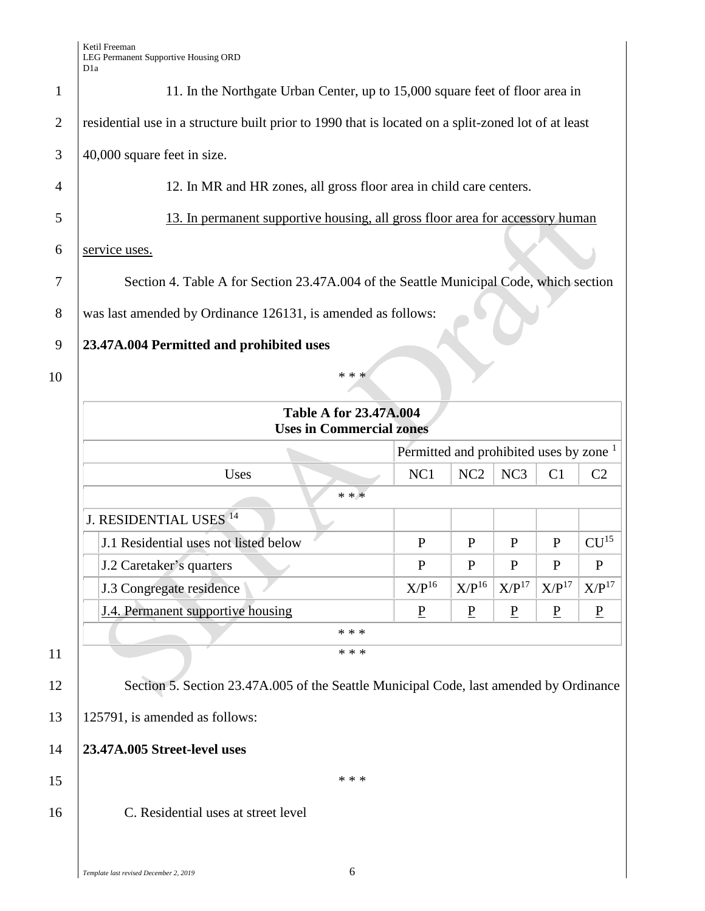| 11. In the Northgate Urban Center, up to 15,000 square feet of floor area in |                                                                                                                                  |                 |                                                                                              |                                                                                                                                                                                                                                                                                                                                      |
|------------------------------------------------------------------------------|----------------------------------------------------------------------------------------------------------------------------------|-----------------|----------------------------------------------------------------------------------------------|--------------------------------------------------------------------------------------------------------------------------------------------------------------------------------------------------------------------------------------------------------------------------------------------------------------------------------------|
|                                                                              |                                                                                                                                  |                 |                                                                                              |                                                                                                                                                                                                                                                                                                                                      |
|                                                                              |                                                                                                                                  |                 |                                                                                              |                                                                                                                                                                                                                                                                                                                                      |
|                                                                              |                                                                                                                                  |                 |                                                                                              |                                                                                                                                                                                                                                                                                                                                      |
|                                                                              |                                                                                                                                  |                 |                                                                                              |                                                                                                                                                                                                                                                                                                                                      |
|                                                                              |                                                                                                                                  |                 |                                                                                              |                                                                                                                                                                                                                                                                                                                                      |
|                                                                              |                                                                                                                                  |                 |                                                                                              |                                                                                                                                                                                                                                                                                                                                      |
|                                                                              |                                                                                                                                  |                 |                                                                                              |                                                                                                                                                                                                                                                                                                                                      |
|                                                                              |                                                                                                                                  |                 |                                                                                              |                                                                                                                                                                                                                                                                                                                                      |
|                                                                              |                                                                                                                                  |                 |                                                                                              |                                                                                                                                                                                                                                                                                                                                      |
|                                                                              |                                                                                                                                  |                 |                                                                                              |                                                                                                                                                                                                                                                                                                                                      |
|                                                                              |                                                                                                                                  |                 |                                                                                              |                                                                                                                                                                                                                                                                                                                                      |
|                                                                              |                                                                                                                                  |                 |                                                                                              |                                                                                                                                                                                                                                                                                                                                      |
| NC1                                                                          | NC <sub>2</sub>                                                                                                                  | NC <sub>3</sub> | C <sub>1</sub>                                                                               | C <sub>2</sub>                                                                                                                                                                                                                                                                                                                       |
|                                                                              |                                                                                                                                  |                 |                                                                                              |                                                                                                                                                                                                                                                                                                                                      |
|                                                                              |                                                                                                                                  |                 |                                                                                              |                                                                                                                                                                                                                                                                                                                                      |
| P                                                                            | P                                                                                                                                | P               | $\mathbf{P}$                                                                                 | CU <sup>15</sup>                                                                                                                                                                                                                                                                                                                     |
| $\mathbf{P}$                                                                 | P                                                                                                                                | P               | $\mathbf{P}$                                                                                 | P                                                                                                                                                                                                                                                                                                                                    |
| $X/P^{16}$                                                                   |                                                                                                                                  |                 | X/P <sup>17</sup>                                                                            | X/P <sup>17</sup>                                                                                                                                                                                                                                                                                                                    |
| $\underline{P}$                                                              | $\overline{P}$                                                                                                                   | $\overline{P}$  | $\underline{P}$                                                                              | $\overline{P}$                                                                                                                                                                                                                                                                                                                       |
|                                                                              |                                                                                                                                  |                 |                                                                                              |                                                                                                                                                                                                                                                                                                                                      |
|                                                                              | was last amended by Ordinance 126131, is amended as follows:<br><b>Table A for 23.47A.004</b><br><b>Uses in Commercial zones</b> |                 | 12. In MR and HR zones, all gross floor area in child care centers.<br>$X/P^{16}$ $X/P^{17}$ | residential use in a structure built prior to 1990 that is located on a split-zoned lot of at least<br>13. In permanent supportive housing, all gross floor area for accessory human<br>Section 4. Table A for Section 23.47A.004 of the Seattle Municipal Code, which section<br>Permitted and prohibited uses by zone <sup>1</sup> |

13 125791, is amended as follows:

14 **23.47A.005 Street-level uses** 

 $15$  \*\*\*

16 C. Residential uses at street level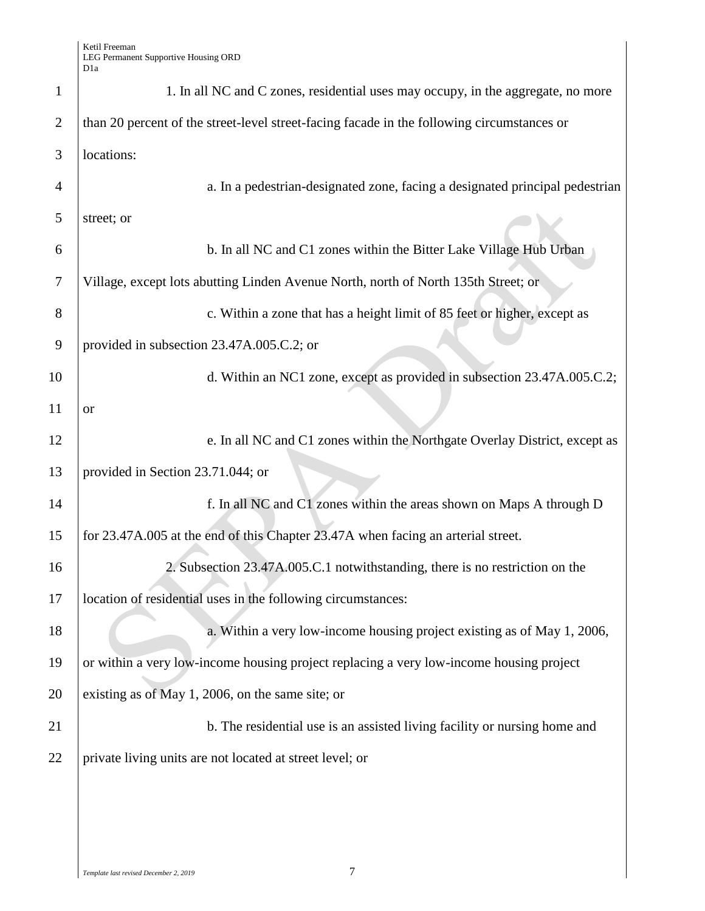| 1              | 1. In all NC and C zones, residential uses may occupy, in the aggregate, no more           |
|----------------|--------------------------------------------------------------------------------------------|
| $\overline{2}$ | than 20 percent of the street-level street-facing facade in the following circumstances or |
| 3              | locations:                                                                                 |
| 4              | a. In a pedestrian-designated zone, facing a designated principal pedestrian               |
| 5              | street; or                                                                                 |
| 6              | b. In all NC and C1 zones within the Bitter Lake Village Hub Urban                         |
| $\overline{7}$ | Village, except lots abutting Linden Avenue North, north of North 135th Street; or         |
| 8              | c. Within a zone that has a height limit of 85 feet or higher, except as                   |
| 9              | provided in subsection 23.47A.005.C.2; or                                                  |
| 10             | d. Within an NC1 zone, except as provided in subsection 23.47A.005.C.2;                    |
| 11             | <b>or</b>                                                                                  |
| 12             | e. In all NC and C1 zones within the Northgate Overlay District, except as                 |
| 13             | provided in Section 23.71.044; or                                                          |
| 14             | f. In all NC and C1 zones within the areas shown on Maps A through D                       |
| 15             | for 23.47A.005 at the end of this Chapter 23.47A when facing an arterial street.           |
| 16             | 2. Subsection 23.47A.005.C.1 notwithstanding, there is no restriction on the               |
| 17             | location of residential uses in the following circumstances:                               |
| 18             | a. Within a very low-income housing project existing as of May 1, 2006,                    |
| 19             | or within a very low-income housing project replacing a very low-income housing project    |
| 20             | existing as of May 1, 2006, on the same site; or                                           |
| 21             | b. The residential use is an assisted living facility or nursing home and                  |
| 22             | private living units are not located at street level; or                                   |
|                |                                                                                            |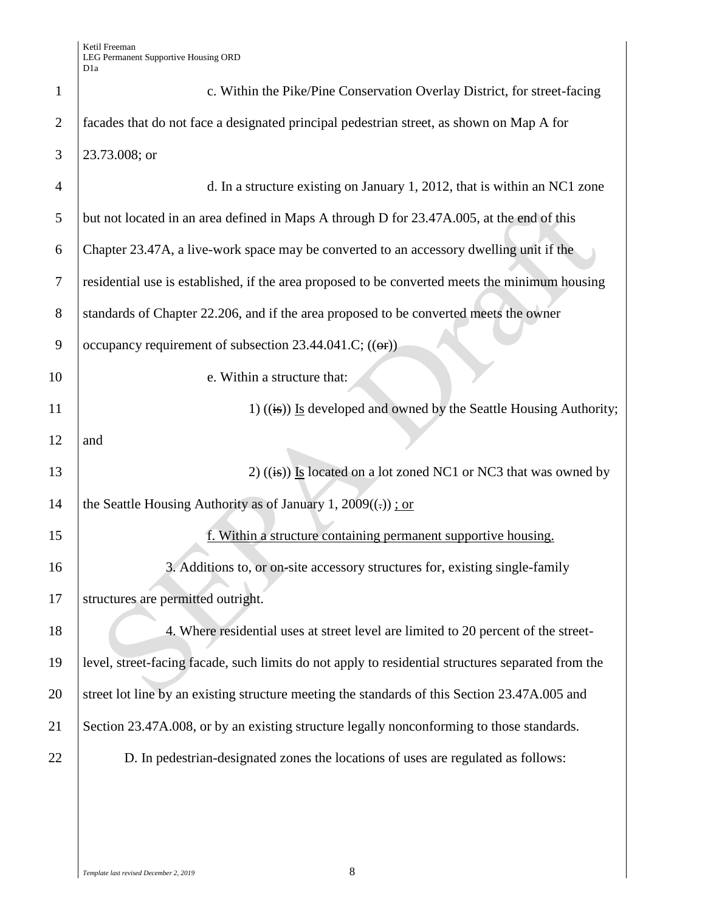| $\mathbf{1}$   | c. Within the Pike/Pine Conservation Overlay District, for street-facing                           |
|----------------|----------------------------------------------------------------------------------------------------|
| $\overline{2}$ | facades that do not face a designated principal pedestrian street, as shown on Map A for           |
| 3              | 23.73.008; or                                                                                      |
| $\overline{4}$ | d. In a structure existing on January 1, 2012, that is within an NC1 zone                          |
| 5              | but not located in an area defined in Maps A through D for 23.47A.005, at the end of this          |
| 6              | Chapter 23.47A, a live-work space may be converted to an accessory dwelling unit if the            |
| $\tau$         | residential use is established, if the area proposed to be converted meets the minimum housing     |
| 8              | standards of Chapter 22.206, and if the area proposed to be converted meets the owner              |
| 9              | occupancy requirement of subsection 23.44.041.C; $((\theta \cdot \mathbf{r}))$                     |
| 10             | e. Within a structure that:                                                                        |
| 11             | 1) $((\frac{1}{15}))$ Is developed and owned by the Seattle Housing Authority;                     |
| 12             | and                                                                                                |
| 13             | 2) $((\frac{1}{18}))$ Is located on a lot zoned NC1 or NC3 that was owned by                       |
| 14             | the Seattle Housing Authority as of January 1, $2009((.))$ ; or                                    |
| 15             | f. Within a structure containing permanent supportive housing.                                     |
| 16             | 3. Additions to, or on-site accessory structures for, existing single-family                       |
| 17             | structures are permitted outright.                                                                 |
| 18             | 4. Where residential uses at street level are limited to 20 percent of the street-                 |
| 19             | level, street-facing facade, such limits do not apply to residential structures separated from the |
| 20             | street lot line by an existing structure meeting the standards of this Section 23.47A.005 and      |
| 21             | Section 23.47A.008, or by an existing structure legally nonconforming to those standards.          |
| 22             | D. In pedestrian-designated zones the locations of uses are regulated as follows:                  |
|                |                                                                                                    |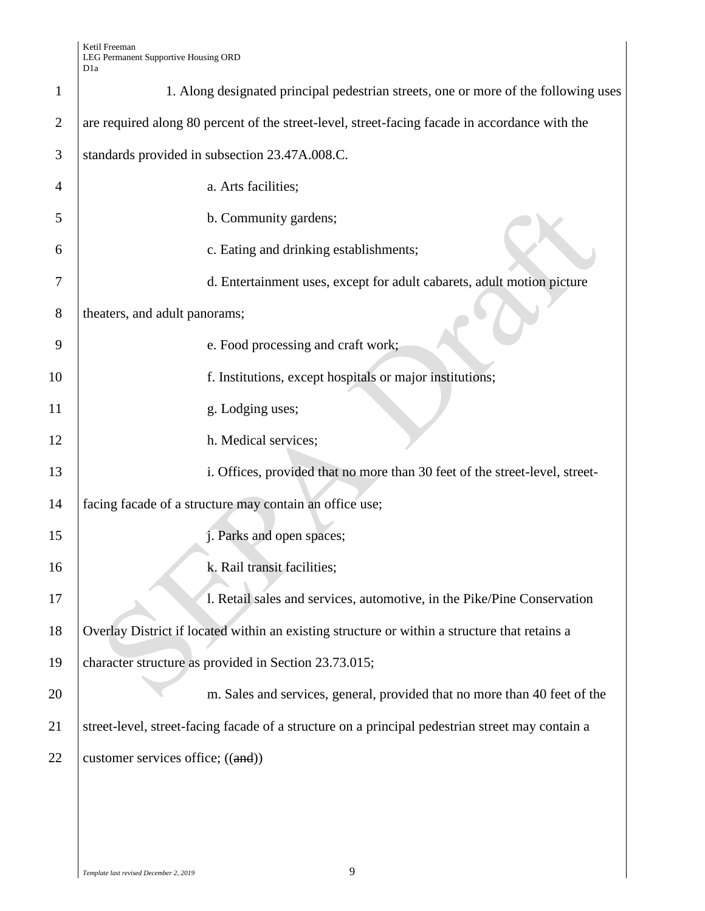| $\mathbf{1}$   | 1. Along designated principal pedestrian streets, one or more of the following uses              |
|----------------|--------------------------------------------------------------------------------------------------|
| $\overline{2}$ | are required along 80 percent of the street-level, street-facing facade in accordance with the   |
| 3              | standards provided in subsection 23.47A.008.C.                                                   |
| 4              | a. Arts facilities;                                                                              |
| 5              | b. Community gardens;                                                                            |
| 6              | c. Eating and drinking establishments;                                                           |
| 7              | d. Entertainment uses, except for adult cabarets, adult motion picture                           |
| 8              | theaters, and adult panorams;                                                                    |
| 9              | e. Food processing and craft work;                                                               |
| 10             | f. Institutions, except hospitals or major institutions;                                         |
| 11             | g. Lodging uses;                                                                                 |
| 12             | h. Medical services;                                                                             |
| 13             | i. Offices, provided that no more than 30 feet of the street-level, street-                      |
| 14             | facing facade of a structure may contain an office use;                                          |
| 15             | j. Parks and open spaces;                                                                        |
| 16             | k. Rail transit facilities;                                                                      |
| 17             | l. Retail sales and services, automotive, in the Pike/Pine Conservation                          |
| 18             | Overlay District if located within an existing structure or within a structure that retains a    |
| 19             | character structure as provided in Section 23.73.015;                                            |
| 20             | m. Sales and services, general, provided that no more than 40 feet of the                        |
| 21             | street-level, street-facing facade of a structure on a principal pedestrian street may contain a |
| 22             | customer services office; $((and))$                                                              |
|                |                                                                                                  |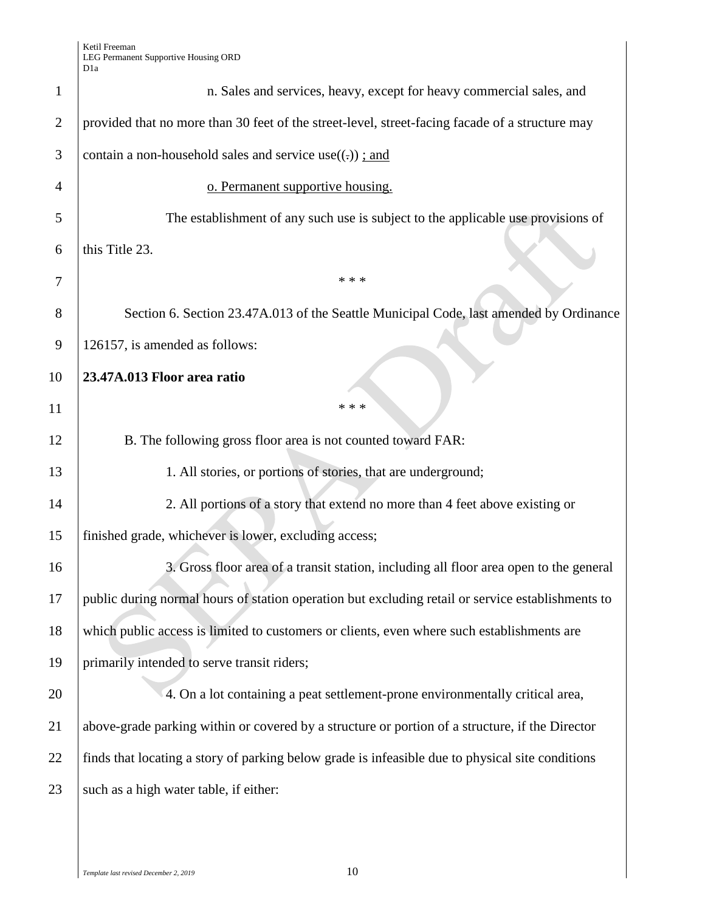|                | D 1 a                                                                                             |
|----------------|---------------------------------------------------------------------------------------------------|
| $\mathbf{1}$   | n. Sales and services, heavy, except for heavy commercial sales, and                              |
| $\overline{2}$ | provided that no more than 30 feet of the street-level, street-facing facade of a structure may   |
| 3              | contain a non-household sales and service use $((.)$ ; and                                        |
| 4              | o. Permanent supportive housing.                                                                  |
| 5              | The establishment of any such use is subject to the applicable use provisions of                  |
| 6              | this Title 23.                                                                                    |
| 7              | * * *                                                                                             |
| 8              | Section 6. Section 23.47A.013 of the Seattle Municipal Code, last amended by Ordinance            |
| 9              | 126157, is amended as follows:                                                                    |
| 10             | 23.47A.013 Floor area ratio                                                                       |
| 11             | * * *                                                                                             |
| 12             | B. The following gross floor area is not counted toward FAR:                                      |
| 13             | 1. All stories, or portions of stories, that are underground;                                     |
| 14             | 2. All portions of a story that extend no more than 4 feet above existing or                      |
| 15             | finished grade, whichever is lower, excluding access;                                             |
| 16             | 3. Gross floor area of a transit station, including all floor area open to the general            |
| 17             | public during normal hours of station operation but excluding retail or service establishments to |
| 18             | which public access is limited to customers or clients, even where such establishments are        |
| 19             | primarily intended to serve transit riders;                                                       |
| 20             | 4. On a lot containing a peat settlement-prone environmentally critical area,                     |
| 21             | above-grade parking within or covered by a structure or portion of a structure, if the Director   |
| 22             | finds that locating a story of parking below grade is infeasible due to physical site conditions  |
| 23             | such as a high water table, if either:                                                            |
|                |                                                                                                   |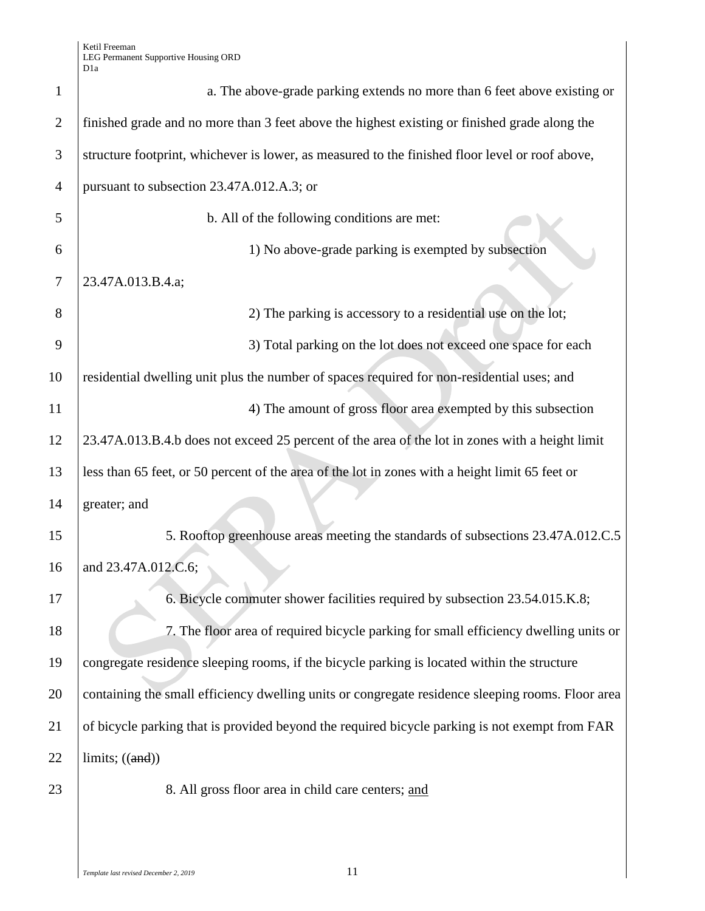Ketil Freeman LEG Permanent Supportive Housing ORD D1a

| $\mathbf{1}$   | a. The above-grade parking extends no more than 6 feet above existing or                          |
|----------------|---------------------------------------------------------------------------------------------------|
| $\overline{2}$ | finished grade and no more than 3 feet above the highest existing or finished grade along the     |
| 3              | structure footprint, whichever is lower, as measured to the finished floor level or roof above,   |
| $\overline{4}$ | pursuant to subsection 23.47A.012.A.3; or                                                         |
| 5              | b. All of the following conditions are met:                                                       |
| 6              | 1) No above-grade parking is exempted by subsection                                               |
| 7              | 23.47A.013.B.4.a;                                                                                 |
| 8              | 2) The parking is accessory to a residential use on the lot;                                      |
| 9              | 3) Total parking on the lot does not exceed one space for each                                    |
| 10             | residential dwelling unit plus the number of spaces required for non-residential uses; and        |
| 11             | 4) The amount of gross floor area exempted by this subsection                                     |
| 12             | 23.47A.013.B.4.b does not exceed 25 percent of the area of the lot in zones with a height limit   |
| 13             | less than 65 feet, or 50 percent of the area of the lot in zones with a height limit 65 feet or   |
| 14             | greater; and                                                                                      |
| 15             | 5. Rooftop greenhouse areas meeting the standards of subsections 23.47A.012.C.5                   |
| 16             | and 23.47A.012.C.6;                                                                               |
| 17             | 6. Bicycle commuter shower facilities required by subsection 23.54.015.K.8;                       |
| 18             | 7. The floor area of required bicycle parking for small efficiency dwelling units or              |
| 19             | congregate residence sleeping rooms, if the bicycle parking is located within the structure       |
| 20             | containing the small efficiency dwelling units or congregate residence sleeping rooms. Floor area |
| 21             | of bicycle parking that is provided beyond the required bicycle parking is not exempt from FAR    |
| 22             | limits; $((and))$                                                                                 |
| 23             | 8. All gross floor area in child care centers; and                                                |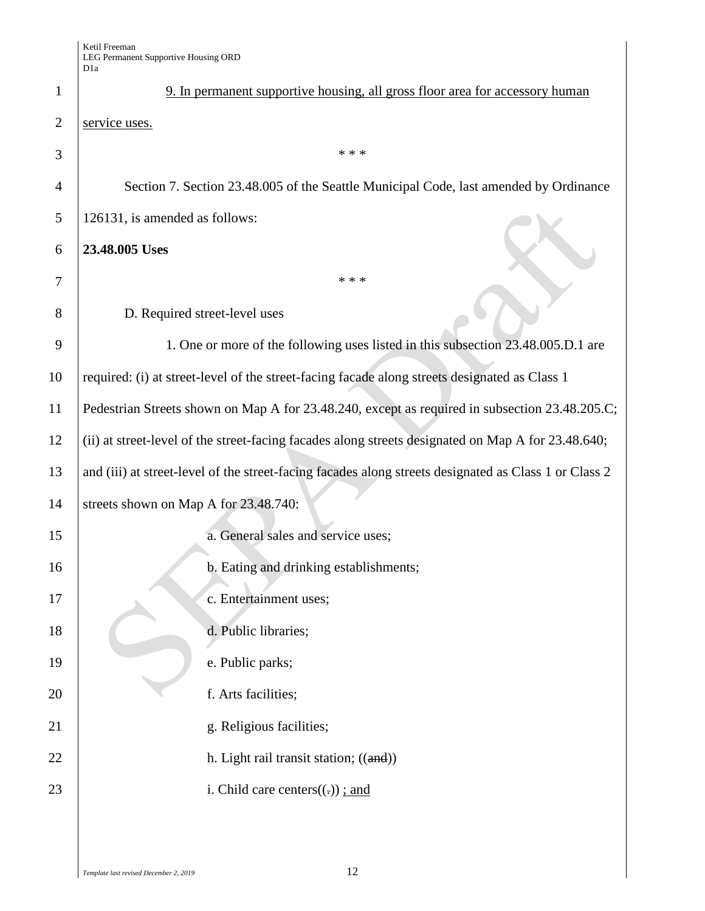|                | νiα                                                                                                   |  |  |
|----------------|-------------------------------------------------------------------------------------------------------|--|--|
| $\mathbf{1}$   | 9. In permanent supportive housing, all gross floor area for accessory human                          |  |  |
| $\overline{2}$ | service uses.                                                                                         |  |  |
| 3              | * * *                                                                                                 |  |  |
| $\overline{4}$ | Section 7. Section 23.48.005 of the Seattle Municipal Code, last amended by Ordinance                 |  |  |
| 5              | 126131, is amended as follows:                                                                        |  |  |
| 6              | 23.48.005 Uses                                                                                        |  |  |
| 7              | * * *                                                                                                 |  |  |
| 8              | D. Required street-level uses                                                                         |  |  |
| 9              | 1. One or more of the following uses listed in this subsection 23.48.005.D.1 are                      |  |  |
| 10             | required: (i) at street-level of the street-facing facade along streets designated as Class 1         |  |  |
| 11             | Pedestrian Streets shown on Map A for 23.48.240, except as required in subsection 23.48.205.C;        |  |  |
| 12             | (ii) at street-level of the street-facing facades along streets designated on Map A for 23.48.640;    |  |  |
| 13             | and (iii) at street-level of the street-facing facades along streets designated as Class 1 or Class 2 |  |  |
| 14             | streets shown on Map A for 23.48.740:                                                                 |  |  |
| 15             | a. General sales and service uses;                                                                    |  |  |
| 16             | b. Eating and drinking establishments;                                                                |  |  |
| 17             | c. Entertainment uses;                                                                                |  |  |
| 18             | d. Public libraries;                                                                                  |  |  |
| 19             | e. Public parks;                                                                                      |  |  |
| 20             | f. Arts facilities;                                                                                   |  |  |
| 21             | g. Religious facilities;                                                                              |  |  |
| 22             | h. Light rail transit station; ((and))                                                                |  |  |
| 23             | i. Child care centers $((.)$ ; and                                                                    |  |  |
|                |                                                                                                       |  |  |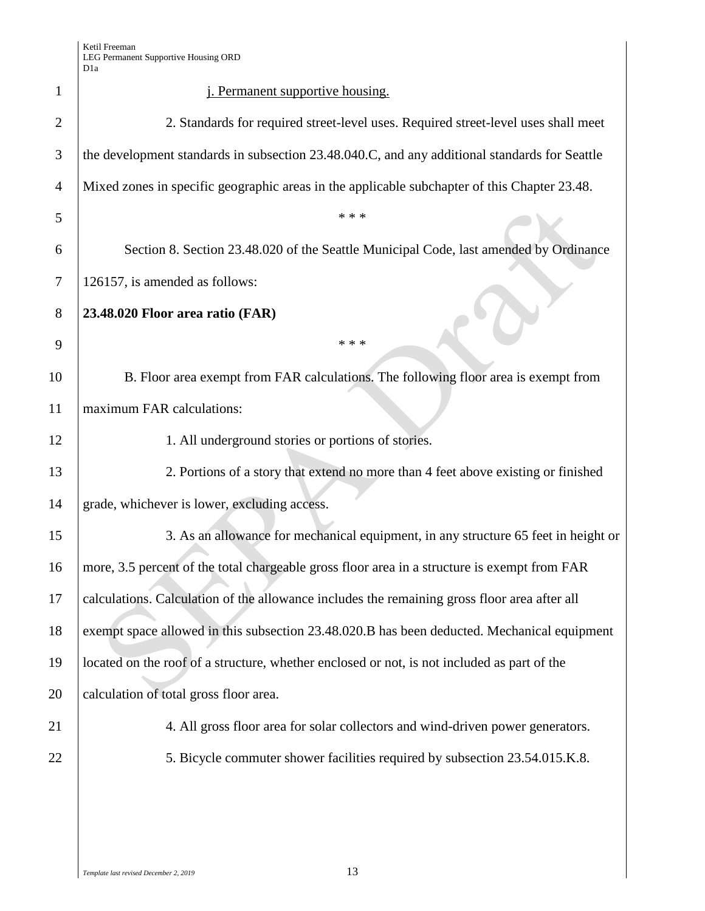| 1              | <i>i.</i> Permanent supportive housing.                                                       |  |
|----------------|-----------------------------------------------------------------------------------------------|--|
| $\overline{2}$ | 2. Standards for required street-level uses. Required street-level uses shall meet            |  |
| 3              | the development standards in subsection 23.48.040.C, and any additional standards for Seattle |  |
| $\overline{4}$ | Mixed zones in specific geographic areas in the applicable subchapter of this Chapter 23.48.  |  |
| 5              | * * *                                                                                         |  |
| 6              | Section 8. Section 23.48.020 of the Seattle Municipal Code, last amended by Ordinance         |  |
| 7              | 126157, is amended as follows:                                                                |  |
| 8              | 23.48.020 Floor area ratio (FAR)                                                              |  |
| 9              | * * *                                                                                         |  |
| 10             | B. Floor area exempt from FAR calculations. The following floor area is exempt from           |  |
| 11             | maximum FAR calculations:                                                                     |  |
| 12             | 1. All underground stories or portions of stories.                                            |  |
| 13             | 2. Portions of a story that extend no more than 4 feet above existing or finished             |  |
| 14             | grade, whichever is lower, excluding access.                                                  |  |
| 15             | 3. As an allowance for mechanical equipment, in any structure 65 feet in height or            |  |
| 16             | more, 3.5 percent of the total chargeable gross floor area in a structure is exempt from FAR  |  |
| 17             | calculations. Calculation of the allowance includes the remaining gross floor area after all  |  |
| 18             | exempt space allowed in this subsection 23.48.020.B has been deducted. Mechanical equipment   |  |
| 19             | located on the roof of a structure, whether enclosed or not, is not included as part of the   |  |
| 20             | calculation of total gross floor area.                                                        |  |
| 21             | 4. All gross floor area for solar collectors and wind-driven power generators.                |  |
| 22             | 5. Bicycle commuter shower facilities required by subsection 23.54.015.K.8.                   |  |
|                |                                                                                               |  |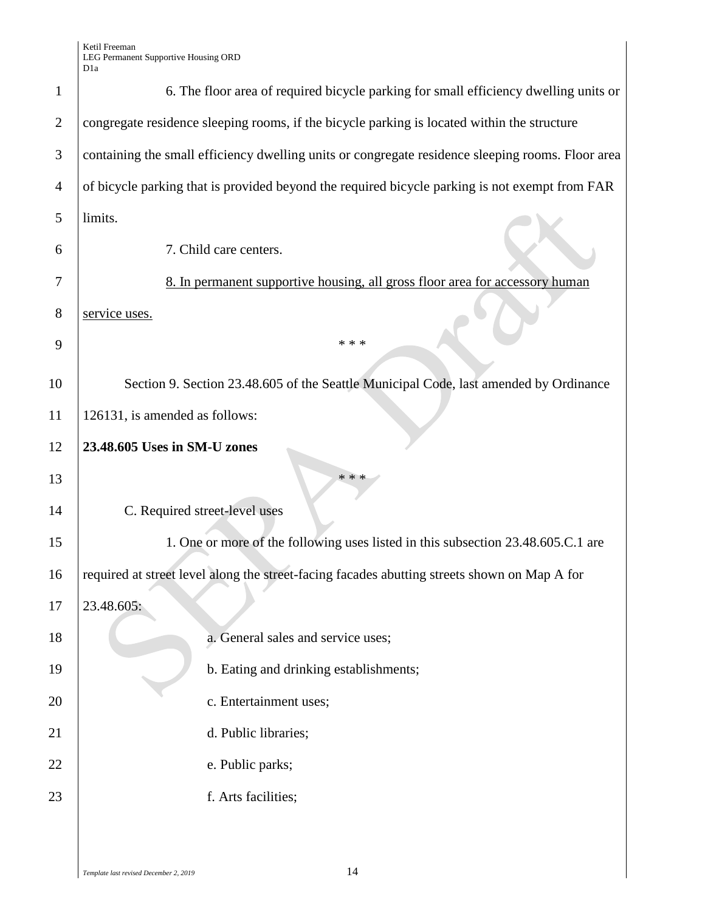Ketil Freeman LEG Permanent Supportive Housing ORD D1a

| $\mathbf{1}$   | 6. The floor area of required bicycle parking for small efficiency dwelling units or              |  |  |
|----------------|---------------------------------------------------------------------------------------------------|--|--|
| $\overline{2}$ | congregate residence sleeping rooms, if the bicycle parking is located within the structure       |  |  |
| 3              | containing the small efficiency dwelling units or congregate residence sleeping rooms. Floor area |  |  |
| 4              | of bicycle parking that is provided beyond the required bicycle parking is not exempt from FAR    |  |  |
| 5              | limits.                                                                                           |  |  |
| 6              | 7. Child care centers.                                                                            |  |  |
| 7              | 8. In permanent supportive housing, all gross floor area for accessory human                      |  |  |
| 8              | service uses.                                                                                     |  |  |
| 9              | * * *                                                                                             |  |  |
| 10             | Section 9. Section 23.48.605 of the Seattle Municipal Code, last amended by Ordinance             |  |  |
| 11             | 126131, is amended as follows:                                                                    |  |  |
| 12             | 23.48.605 Uses in SM-U zones                                                                      |  |  |
| 13             | * * *                                                                                             |  |  |
| 14             | C. Required street-level uses                                                                     |  |  |
| 15             | 1. One or more of the following uses listed in this subsection 23.48.605.C.1 are                  |  |  |
| 16             | required at street level along the street-facing facades abutting streets shown on Map A for      |  |  |
| 17             | $23.48.605$ :                                                                                     |  |  |
| 18             | a. General sales and service uses;                                                                |  |  |
| 19             | b. Eating and drinking establishments;                                                            |  |  |
| 20             | c. Entertainment uses;                                                                            |  |  |
| 21             | d. Public libraries;                                                                              |  |  |
| 22             | e. Public parks;                                                                                  |  |  |
| 23             | f. Arts facilities;                                                                               |  |  |
|                |                                                                                                   |  |  |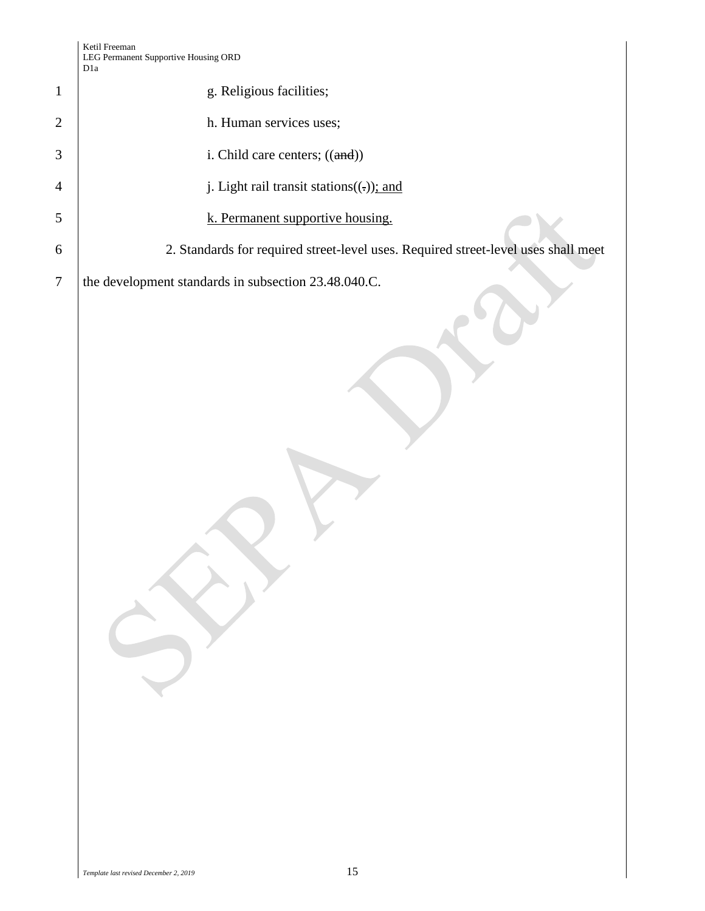| $\mathbf{1}$   | g. Religious facilities;                                                           |
|----------------|------------------------------------------------------------------------------------|
| $\overline{c}$ | h. Human services uses;                                                            |
| 3              | i. Child care centers; $((and))$                                                   |
| 4              | j. Light rail transit stations $((.)$ ; and                                        |
| 5              | k. Permanent supportive housing.                                                   |
| 6              | 2. Standards for required street-level uses. Required street-level uses shall meet |
| 7              | the development standards in subsection 23.48.040.C.                               |
|                |                                                                                    |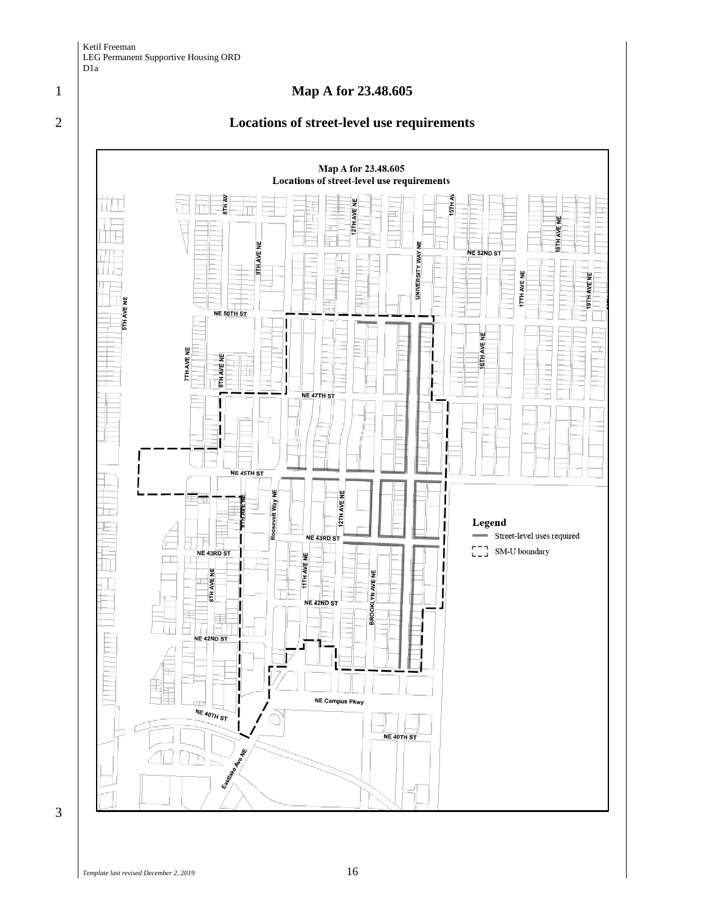

## 2 **Locations of street-level use requirements**



3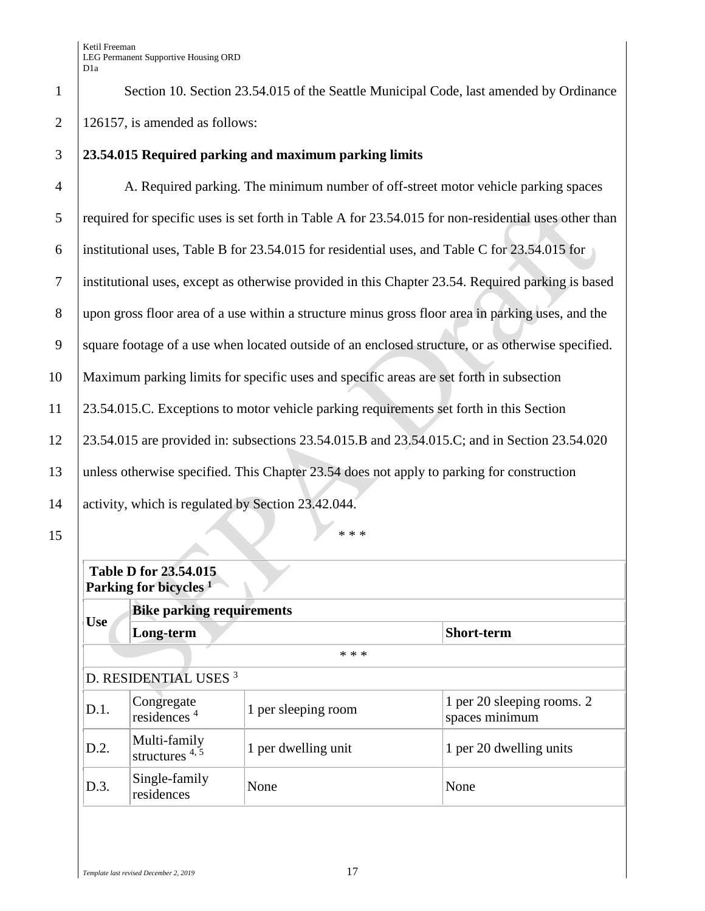1 Section 10. Section 23.54.015 of the Seattle Municipal Code, last amended by Ordinance 2 | 126157, is amended as follows:

# 3 **23.54.015 Required parking and maximum parking limits**

 A. Required parking. The minimum number of off-street motor vehicle parking spaces 5 required for specific uses is set forth in Table A for 23.54.015 for non-residential uses other than institutional uses, Table B for 23.54.015 for residential uses, and Table C for 23.54.015 for institutional uses, except as otherwise provided in this Chapter 23.54. Required parking is based upon gross floor area of a use within a structure minus gross floor area in parking uses, and the 9 square footage of a use when located outside of an enclosed structure, or as otherwise specified. Maximum parking limits for specific uses and specific areas are set forth in subsection 23.54.015.C. Exceptions to motor vehicle parking requirements set forth in this Section 23.54.015 are provided in: subsections 23.54.015.B and 23.54.015.C; and in Section 23.54.020 13 | unless otherwise specified. This Chapter 23.54 does not apply to parking for construction 14 activity, which is regulated by Section 23.42.044.

# **Table D for 23.54.015 Parking for bicycles <sup>1</sup>**

| <b>Bike parking requirements</b>      |                     |                                              |
|---------------------------------------|---------------------|----------------------------------------------|
| Long-term                             |                     | <b>Short-term</b>                            |
|                                       | * * *               |                                              |
| D. RESIDENTIAL USES <sup>3</sup>      |                     |                                              |
| Congregate<br>residences <sup>4</sup> | 1 per sleeping room | 1 per 20 sleeping rooms. 2<br>spaces minimum |
| Multi-family<br>structures $4, 5$     | 1 per dwelling unit | 1 per 20 dwelling units                      |
| Single-family<br>residences           | None                | None                                         |
|                                       |                     |                                              |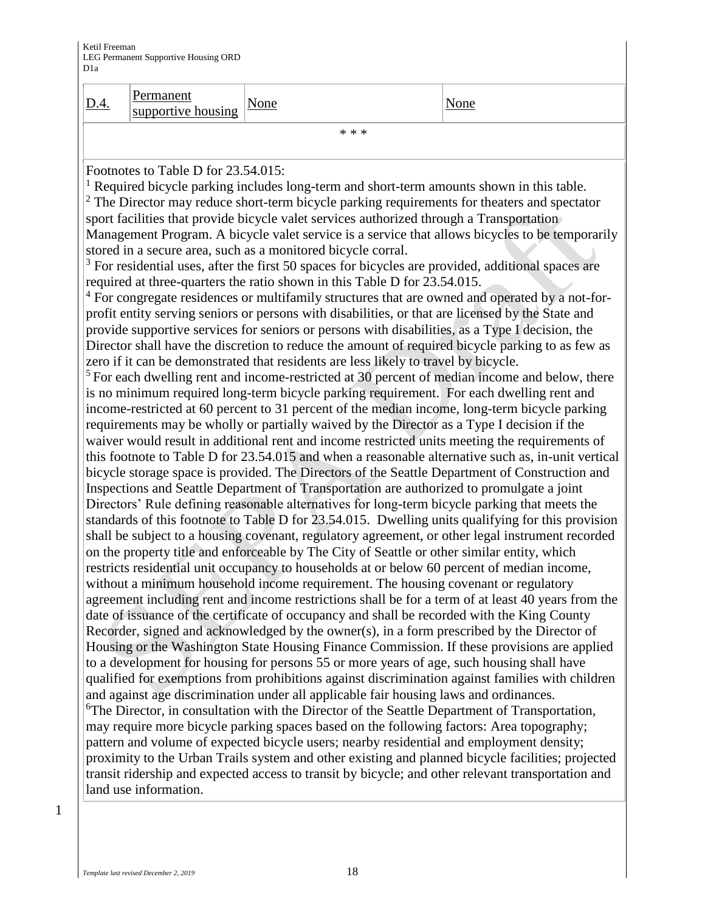| D.4.                                                                                             | <b>Permanent</b><br>supportive housing                                                                                                                                                                | None                                                                                                                                                                                                 | None |
|--------------------------------------------------------------------------------------------------|-------------------------------------------------------------------------------------------------------------------------------------------------------------------------------------------------------|------------------------------------------------------------------------------------------------------------------------------------------------------------------------------------------------------|------|
|                                                                                                  |                                                                                                                                                                                                       | * * *                                                                                                                                                                                                |      |
|                                                                                                  |                                                                                                                                                                                                       |                                                                                                                                                                                                      |      |
|                                                                                                  | Footnotes to Table D for 23.54.015:                                                                                                                                                                   |                                                                                                                                                                                                      |      |
|                                                                                                  |                                                                                                                                                                                                       | <sup>1</sup> Required bicycle parking includes long-term and short-term amounts shown in this table.                                                                                                 |      |
|                                                                                                  |                                                                                                                                                                                                       | $2$ The Director may reduce short-term bicycle parking requirements for theaters and spectator                                                                                                       |      |
|                                                                                                  |                                                                                                                                                                                                       | sport facilities that provide bicycle valet services authorized through a Transportation                                                                                                             |      |
|                                                                                                  |                                                                                                                                                                                                       | Management Program. A bicycle valet service is a service that allows bicycles to be temporarily<br>stored in a secure area, such as a monitored bicycle corral.                                      |      |
|                                                                                                  |                                                                                                                                                                                                       | $3$ For residential uses, after the first 50 spaces for bicycles are provided, additional spaces are                                                                                                 |      |
|                                                                                                  |                                                                                                                                                                                                       | required at three-quarters the ratio shown in this Table D for 23.54.015.                                                                                                                            |      |
|                                                                                                  |                                                                                                                                                                                                       | <sup>4</sup> For congregate residences or multifamily structures that are owned and operated by a not-for-                                                                                           |      |
|                                                                                                  |                                                                                                                                                                                                       | profit entity serving seniors or persons with disabilities, or that are licensed by the State and                                                                                                    |      |
|                                                                                                  |                                                                                                                                                                                                       | provide supportive services for seniors or persons with disabilities, as a Type I decision, the                                                                                                      |      |
|                                                                                                  |                                                                                                                                                                                                       | Director shall have the discretion to reduce the amount of required bicycle parking to as few as                                                                                                     |      |
|                                                                                                  |                                                                                                                                                                                                       | zero if it can be demonstrated that residents are less likely to travel by bicycle.                                                                                                                  |      |
|                                                                                                  |                                                                                                                                                                                                       | <sup>5</sup> For each dwelling rent and income-restricted at 30 percent of median income and below, there                                                                                            |      |
|                                                                                                  |                                                                                                                                                                                                       | is no minimum required long-term bicycle parking requirement. For each dwelling rent and                                                                                                             |      |
|                                                                                                  |                                                                                                                                                                                                       | income-restricted at 60 percent to 31 percent of the median income, long-term bicycle parking                                                                                                        |      |
|                                                                                                  |                                                                                                                                                                                                       | requirements may be wholly or partially waived by the Director as a Type I decision if the                                                                                                           |      |
|                                                                                                  |                                                                                                                                                                                                       | waiver would result in additional rent and income restricted units meeting the requirements of                                                                                                       |      |
|                                                                                                  |                                                                                                                                                                                                       | this footnote to Table D for 23.54.015 and when a reasonable alternative such as, in-unit vertical<br>bicycle storage space is provided. The Directors of the Seattle Department of Construction and |      |
|                                                                                                  |                                                                                                                                                                                                       | Inspections and Seattle Department of Transportation are authorized to promulgate a joint                                                                                                            |      |
|                                                                                                  |                                                                                                                                                                                                       | Directors' Rule defining reasonable alternatives for long-term bicycle parking that meets the                                                                                                        |      |
|                                                                                                  |                                                                                                                                                                                                       |                                                                                                                                                                                                      |      |
|                                                                                                  | standards of this footnote to Table D for 23.54.015. Dwelling units qualifying for this provision<br>shall be subject to a housing covenant, regulatory agreement, or other legal instrument recorded |                                                                                                                                                                                                      |      |
|                                                                                                  |                                                                                                                                                                                                       | on the property title and enforceable by The City of Seattle or other similar entity, which                                                                                                          |      |
|                                                                                                  |                                                                                                                                                                                                       | restricts residential unit occupancy to households at or below 60 percent of median income,                                                                                                          |      |
|                                                                                                  |                                                                                                                                                                                                       | without a minimum household income requirement. The housing covenant or regulatory                                                                                                                   |      |
|                                                                                                  |                                                                                                                                                                                                       | agreement including rent and income restrictions shall be for a term of at least 40 years from the                                                                                                   |      |
|                                                                                                  |                                                                                                                                                                                                       | date of issuance of the certificate of occupancy and shall be recorded with the King County                                                                                                          |      |
| Recorder, signed and acknowledged by the owner(s), in a form prescribed by the Director of       |                                                                                                                                                                                                       |                                                                                                                                                                                                      |      |
| Housing or the Washington State Housing Finance Commission. If these provisions are applied      |                                                                                                                                                                                                       |                                                                                                                                                                                                      |      |
| to a development for housing for persons 55 or more years of age, such housing shall have        |                                                                                                                                                                                                       |                                                                                                                                                                                                      |      |
| qualified for exemptions from prohibitions against discrimination against families with children |                                                                                                                                                                                                       |                                                                                                                                                                                                      |      |
| and against age discrimination under all applicable fair housing laws and ordinances.            |                                                                                                                                                                                                       |                                                                                                                                                                                                      |      |
|                                                                                                  |                                                                                                                                                                                                       | <sup>6</sup> The Director, in consultation with the Director of the Seattle Department of Transportation,                                                                                            |      |
|                                                                                                  |                                                                                                                                                                                                       | may require more bicycle parking spaces based on the following factors: Area topography;                                                                                                             |      |
|                                                                                                  |                                                                                                                                                                                                       | pattern and volume of expected bicycle users; nearby residential and employment density;                                                                                                             |      |
|                                                                                                  |                                                                                                                                                                                                       | proximity to the Urban Trails system and other existing and planned bicycle facilities; projected                                                                                                    |      |
|                                                                                                  |                                                                                                                                                                                                       | transit ridership and expected access to transit by bicycle; and other relevant transportation and                                                                                                   |      |
|                                                                                                  | land use information.                                                                                                                                                                                 |                                                                                                                                                                                                      |      |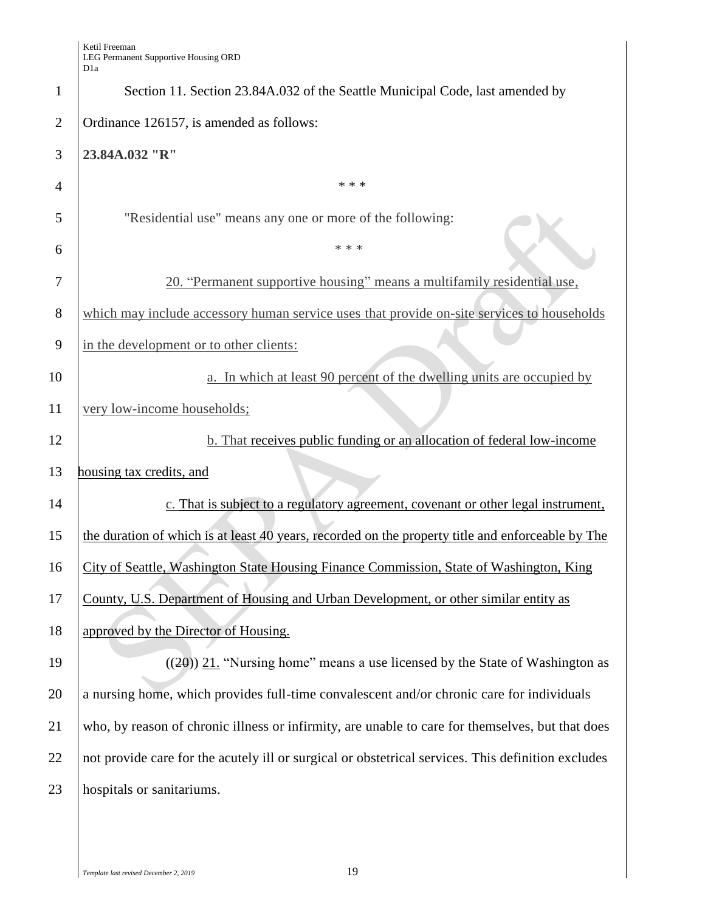|                | Dia                                                                                                |  |
|----------------|----------------------------------------------------------------------------------------------------|--|
| 1              | Section 11. Section 23.84A.032 of the Seattle Municipal Code, last amended by                      |  |
| $\overline{2}$ | Ordinance 126157, is amended as follows:                                                           |  |
| 3              | 23.84A.032 "R"                                                                                     |  |
| $\overline{4}$ | * * *                                                                                              |  |
| 5              | "Residential use" means any one or more of the following:                                          |  |
| 6              | * * *                                                                                              |  |
| 7              | 20. "Permanent supportive housing" means a multifamily residential use,                            |  |
| 8              | which may include accessory human service uses that provide on-site services to households         |  |
| 9              | in the development or to other clients:                                                            |  |
| 10             | a. In which at least 90 percent of the dwelling units are occupied by                              |  |
| 11             | very low-income households;                                                                        |  |
| 12             | b. That receives public funding or an allocation of federal low-income                             |  |
| 13             | housing tax credits, and                                                                           |  |
| 14             | c. That is subject to a regulatory agreement, covenant or other legal instrument,                  |  |
| 15             | the duration of which is at least 40 years, recorded on the property title and enforceable by The  |  |
| 16             | City of Seattle, Washington State Housing Finance Commission, State of Washington, King            |  |
| 17             | County, U.S. Department of Housing and Urban Development, or other similar entity as               |  |
| 18             | approved by the Director of Housing.                                                               |  |
| 19             | $((20))$ 21. "Nursing home" means a use licensed by the State of Washington as                     |  |
| 20             | a nursing home, which provides full-time convalescent and/or chronic care for individuals          |  |
| 21             | who, by reason of chronic illness or infirmity, are unable to care for themselves, but that does   |  |
| 22             | not provide care for the acutely ill or surgical or obstetrical services. This definition excludes |  |
| 23             | hospitals or sanitariums.                                                                          |  |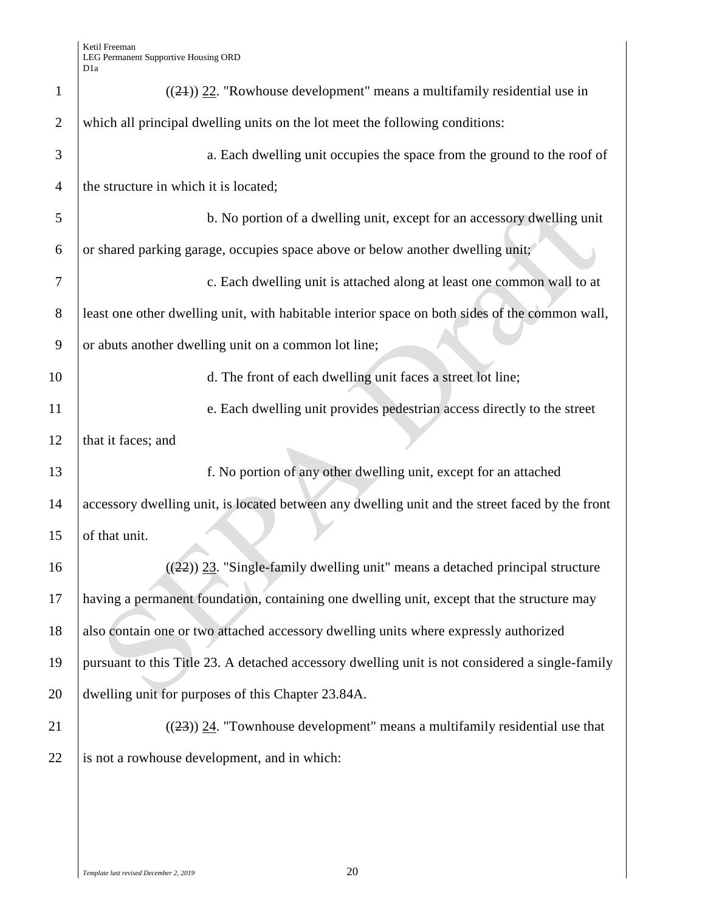| $\mathbf{1}$   | $((24))$ 22. "Rowhouse development" means a multifamily residential use in                      |  |  |
|----------------|-------------------------------------------------------------------------------------------------|--|--|
| $\overline{2}$ | which all principal dwelling units on the lot meet the following conditions:                    |  |  |
| 3              | a. Each dwelling unit occupies the space from the ground to the roof of                         |  |  |
| $\overline{4}$ | the structure in which it is located;                                                           |  |  |
| 5              | b. No portion of a dwelling unit, except for an accessory dwelling unit                         |  |  |
| 6              | or shared parking garage, occupies space above or below another dwelling unit;                  |  |  |
| 7              | c. Each dwelling unit is attached along at least one common wall to at                          |  |  |
| 8              | least one other dwelling unit, with habitable interior space on both sides of the common wall,  |  |  |
| 9              | or abuts another dwelling unit on a common lot line;                                            |  |  |
| 10             | d. The front of each dwelling unit faces a street lot line;                                     |  |  |
| 11             | e. Each dwelling unit provides pedestrian access directly to the street                         |  |  |
| 12             | that it faces; and                                                                              |  |  |
| 13             | f. No portion of any other dwelling unit, except for an attached                                |  |  |
| 14             | accessory dwelling unit, is located between any dwelling unit and the street faced by the front |  |  |
| 15             | of that unit.                                                                                   |  |  |
| 16             | $((22))$ 23. "Single-family dwelling unit" means a detached principal structure                 |  |  |
| 17             | having a permanent foundation, containing one dwelling unit, except that the structure may      |  |  |
| 18             | also contain one or two attached accessory dwelling units where expressly authorized            |  |  |
| 19             | pursuant to this Title 23. A detached accessory dwelling unit is not considered a single-family |  |  |
| 20             | dwelling unit for purposes of this Chapter 23.84A.                                              |  |  |
| 21             |                                                                                                 |  |  |
|                | $((23))$ 24. "Townhouse development" means a multifamily residential use that                   |  |  |
| 22             | is not a rowhouse development, and in which:                                                    |  |  |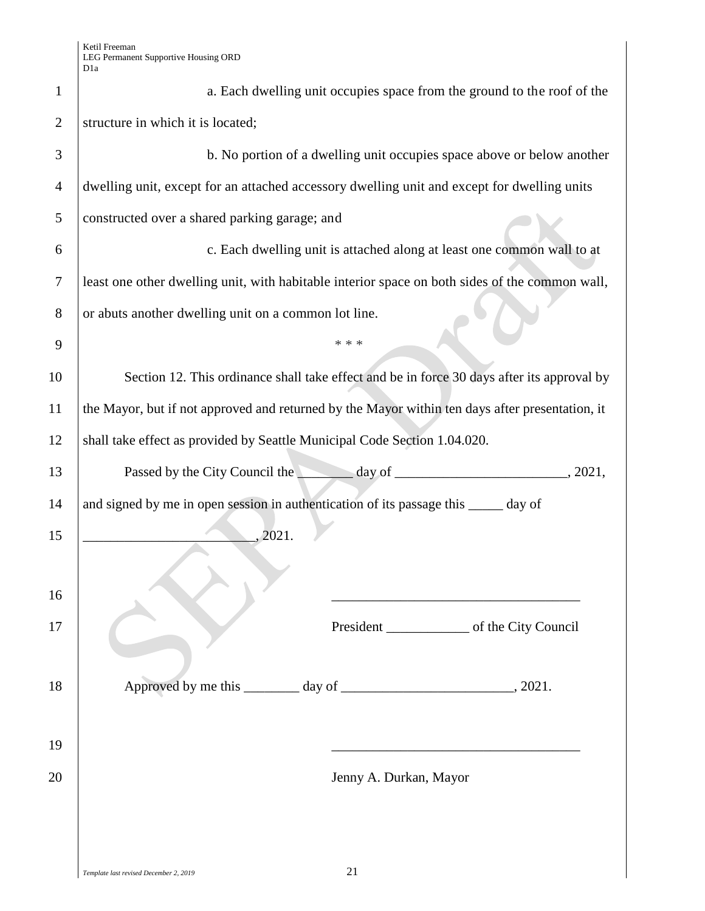| $\mathbf{1}$   | a. Each dwelling unit occupies space from the ground to the roof of the                         |  |
|----------------|-------------------------------------------------------------------------------------------------|--|
| $\overline{2}$ | structure in which it is located;                                                               |  |
| 3              | b. No portion of a dwelling unit occupies space above or below another                          |  |
| 4              | dwelling unit, except for an attached accessory dwelling unit and except for dwelling units     |  |
| 5              | constructed over a shared parking garage; and                                                   |  |
| 6              | c. Each dwelling unit is attached along at least one common wall to at                          |  |
| 7              | least one other dwelling unit, with habitable interior space on both sides of the common wall,  |  |
| 8              | or abuts another dwelling unit on a common lot line.                                            |  |
| 9              | * * *                                                                                           |  |
| 10             | Section 12. This ordinance shall take effect and be in force 30 days after its approval by      |  |
| 11             | the Mayor, but if not approved and returned by the Mayor within ten days after presentation, it |  |
| 12             | shall take effect as provided by Seattle Municipal Code Section 1.04.020.                       |  |
| 13             | , 2021,                                                                                         |  |
| 14             | and signed by me in open session in authentication of its passage this _____ day of             |  |
| 15             | 2021.                                                                                           |  |
|                |                                                                                                 |  |
| 16             |                                                                                                 |  |
| 17             |                                                                                                 |  |
|                |                                                                                                 |  |
| 18             |                                                                                                 |  |
|                |                                                                                                 |  |
| 19             |                                                                                                 |  |
| 20             | Jenny A. Durkan, Mayor                                                                          |  |
|                |                                                                                                 |  |
|                |                                                                                                 |  |